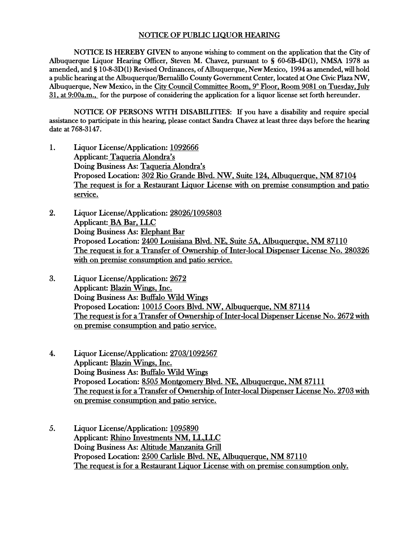## NOTICE OF PUBLIC LIQUOR HEARING

NOTICE IS HEREBY GIVEN to anyone wishing to comment on the application that the City of Albuquerque Liquor Hearing Officer, Steven M. Chavez, pursuant to § 60-6B-4D(1), NMSA 1978 as amended, and § 10-8-3D(1) Revised Ordinances, of Albuquerque, New Mexico, 1994 as amended, will hold a public hearing at the Albuquerque/Bernalillo County Government Center, located at One Civic Plaza NW, Albuquerque, New Mexico, in the City Council Committee Room, 9<sup>th</sup> Floor, Room 9081 on Tuesday, July 31, at 9:00a.m., for the purpose of considering the application for a liquor license set forth hereunder.

NOTICE OF PERSONS WITH DISABILITIES: If you have a disability and require special assistance to participate in this hearing, please contact Sandra Chavez at least three days before the hearing date at 768-3147.

- 1. Liquor License/Application: 1092666 Applicant: Taqueria Alondra's Doing Business As: Taqueria Alondra's Proposed Location: 302 Rio Grande Blvd. NW, Suite 124, Albuquerque, NM 87104 The request is for a Restaurant Liquor License with on premise consumption and patio service.
- 2. Liquor License/Application: 28026/1095803 Applicant: BA Bar, LLC Doing Business As: Elephant Bar Proposed Location: 2400 Louisiana Blvd. NE, Suite 5A, Albuquerque, NM 87110 The request is for a Transfer of Ownership of Inter-local Dispenser License No. 280326 with on premise consumption and patio service.
- 3. Liquor License/Application: 2672 Applicant: Blazin Wings, Inc. Doing Business As: Buffalo Wild Wings Proposed Location: 10015 Coors Blvd. NW, Albuquerque, NM 87114 The request is for a Transfer of Ownership of Inter-local Dispenser License No. 2672 with on premise consumption and patio service.
- 4. Liquor License/Application: 2703/1092567 Applicant: Blazin Wings, Inc. Doing Business As: Buffalo Wild Wings Proposed Location: 8505 Montgomery Blvd. NE, Albuquerque, NM 87111 The request is for a Transfer of Ownership of Inter-local Dispenser License No. 2703 with on premise consumption and patio service.
- 5. Liquor License/Application: 1095890 Applicant: Rhino Investments NM, LL,LLC Doing Business As: Altitude Manzanita Grill Proposed Location: 2500 Carlisle Blvd. NE, Albuquerque, NM 87110 The request is for a Restaurant Liquor License with on premise consumption only.